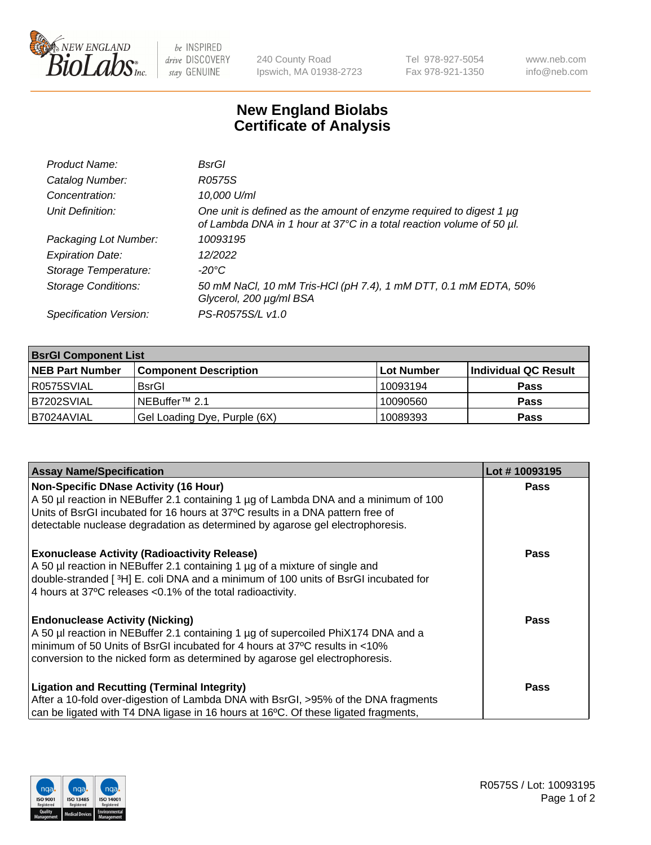

 $be$  INSPIRED drive DISCOVERY stay GENUINE

240 County Road Ipswich, MA 01938-2723 Tel 978-927-5054 Fax 978-921-1350 www.neb.com info@neb.com

## **New England Biolabs Certificate of Analysis**

| Product Name:              | BsrGl                                                                                                                                       |
|----------------------------|---------------------------------------------------------------------------------------------------------------------------------------------|
| Catalog Number:            | R0575S                                                                                                                                      |
| Concentration:             | 10,000 U/ml                                                                                                                                 |
| Unit Definition:           | One unit is defined as the amount of enzyme required to digest 1 µg<br>of Lambda DNA in 1 hour at 37°C in a total reaction volume of 50 µl. |
| Packaging Lot Number:      | 10093195                                                                                                                                    |
| <b>Expiration Date:</b>    | 12/2022                                                                                                                                     |
| Storage Temperature:       | -20°C                                                                                                                                       |
| <b>Storage Conditions:</b> | 50 mM NaCl, 10 mM Tris-HCl (pH 7.4), 1 mM DTT, 0.1 mM EDTA, 50%<br>Glycerol, 200 µg/ml BSA                                                  |
| Specification Version:     | PS-R0575S/L v1.0                                                                                                                            |

| <b>BsrGI Component List</b> |                              |            |                      |  |  |
|-----------------------------|------------------------------|------------|----------------------|--|--|
| <b>NEB Part Number</b>      | <b>Component Description</b> | Lot Number | Individual QC Result |  |  |
| I R0575SVIAL                | <b>BsrGI</b>                 | 10093194   | <b>Pass</b>          |  |  |
| B7202SVIAL                  | INEBuffer™ 2.1               | 10090560   | <b>Pass</b>          |  |  |
| B7024AVIAL                  | Gel Loading Dye, Purple (6X) | 10089393   | <b>Pass</b>          |  |  |

| <b>Assay Name/Specification</b>                                                     | Lot #10093195 |
|-------------------------------------------------------------------------------------|---------------|
| <b>Non-Specific DNase Activity (16 Hour)</b>                                        | <b>Pass</b>   |
| A 50 µl reaction in NEBuffer 2.1 containing 1 µg of Lambda DNA and a minimum of 100 |               |
| Units of BsrGI incubated for 16 hours at 37°C results in a DNA pattern free of      |               |
| detectable nuclease degradation as determined by agarose gel electrophoresis.       |               |
| <b>Exonuclease Activity (Radioactivity Release)</b>                                 | <b>Pass</b>   |
| A 50 µl reaction in NEBuffer 2.1 containing 1 µg of a mixture of single and         |               |
| double-stranded [3H] E. coli DNA and a minimum of 100 units of BsrGI incubated for  |               |
| 4 hours at 37°C releases < 0.1% of the total radioactivity.                         |               |
| <b>Endonuclease Activity (Nicking)</b>                                              | Pass          |
| A 50 µl reaction in NEBuffer 2.1 containing 1 µg of supercoiled PhiX174 DNA and a   |               |
| minimum of 50 Units of BsrGI incubated for 4 hours at 37°C results in <10%          |               |
| conversion to the nicked form as determined by agarose gel electrophoresis.         |               |
| <b>Ligation and Recutting (Terminal Integrity)</b>                                  | <b>Pass</b>   |
| After a 10-fold over-digestion of Lambda DNA with BsrGI, >95% of the DNA fragments  |               |
| can be ligated with T4 DNA ligase in 16 hours at 16°C. Of these ligated fragments,  |               |